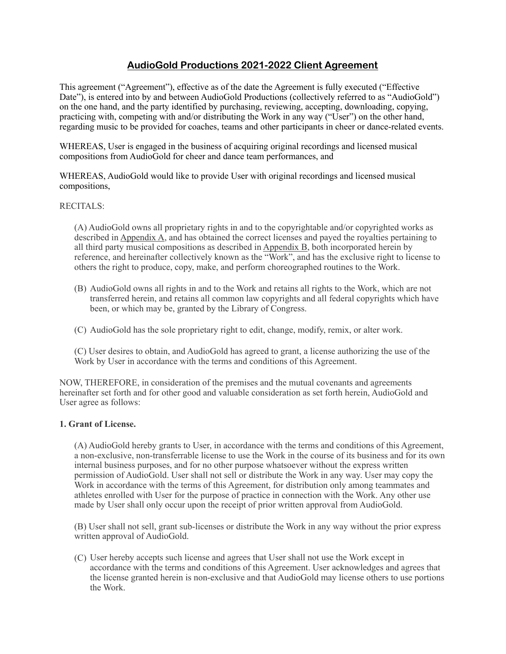# **AudioGold Productions 2021-2022 Client Agreement**

This agreement ("Agreement"), effective as of the date the Agreement is fully executed ("Effective Date"), is entered into by and between AudioGold Productions (collectively referred to as "AudioGold") on the one hand, and the party identified by purchasing, reviewing, accepting, downloading, copying, practicing with, competing with and/or distributing the Work in any way ("User") on the other hand, regarding music to be provided for coaches, teams and other participants in cheer or dance-related events.

WHEREAS, User is engaged in the business of acquiring original recordings and licensed musical compositions from AudioGold for cheer and dance team performances, and

WHEREAS, AudioGold would like to provide User with original recordings and licensed musical compositions,

#### RECITALS:

(A) AudioGold owns all proprietary rights in and to the copyrightable and/or copyrighted works as described in Appendix A, and has obtained the correct licenses and payed the royalties pertaining to all third party musical compositions as described in Appendix B, both incorporated herein by reference, and hereinafter collectively known as the "Work", and has the exclusive right to license to others the right to produce, copy, make, and perform choreographed routines to the Work.

- (B) AudioGold owns all rights in and to the Work and retains all rights to the Work, which are not transferred herein, and retains all common law copyrights and all federal copyrights which have been, or which may be, granted by the Library of Congress.
- (C) AudioGold has the sole proprietary right to edit, change, modify, remix, or alter work.

(C) User desires to obtain, and AudioGold has agreed to grant, a license authorizing the use of the Work by User in accordance with the terms and conditions of this Agreement.

NOW, THEREFORE, in consideration of the premises and the mutual covenants and agreements hereinafter set forth and for other good and valuable consideration as set forth herein, AudioGold and User agree as follows:

#### **1. Grant of License.**

(A) AudioGold hereby grants to User, in accordance with the terms and conditions of this Agreement, a non-exclusive, non-transferrable license to use the Work in the course of its business and for its own internal business purposes, and for no other purpose whatsoever without the express written permission of AudioGold. User shall not sell or distribute the Work in any way. User may copy the Work in accordance with the terms of this Agreement, for distribution only among teammates and athletes enrolled with User for the purpose of practice in connection with the Work. Any other use made by User shall only occur upon the receipt of prior written approval from AudioGold.

(B) User shall not sell, grant sub-licenses or distribute the Work in any way without the prior express written approval of AudioGold.

(C) User hereby accepts such license and agrees that User shall not use the Work except in accordance with the terms and conditions of this Agreement. User acknowledges and agrees that the license granted herein is non-exclusive and that AudioGold may license others to use portions the Work.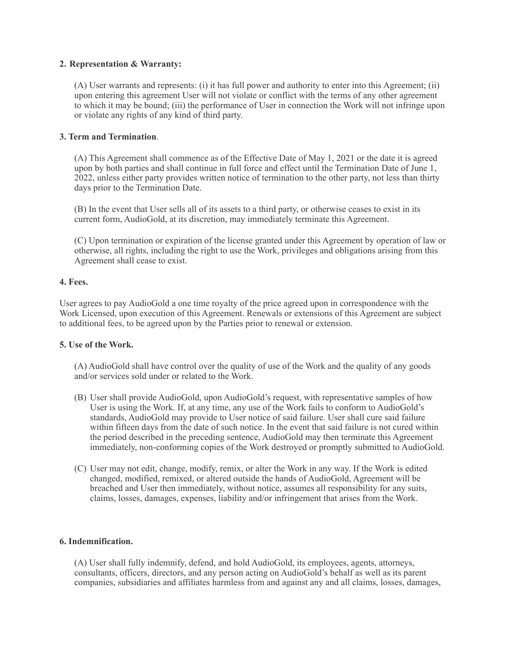### **2. Representation & Warranty:**

(A) User warrants and represents: (i) it has full power and authority to enter into this Agreement; (ii) upon entering this agreement User will not violate or conflict with the terms of any other agreement to which it may be bound; (iii) the performance of User in connection the Work will not infringe upon or violate any rights of any kind of third party.

### **3. Term and Termination**.

(A) This Agreement shall commence as of the Effective Date of May 1, 2021 or the date it is agreed upon by both parties and shall continue in full force and effect until the Termination Date of June 1, 2022, unless either party provides written notice of termination to the other party, not less than thirty days prior to the Termination Date.

(B) In the event that User sells all of its assets to a third party, or otherwise ceases to exist in its current form, AudioGold, at its discretion, may immediately terminate this Agreement.

(C) Upon termination or expiration of the license granted under this Agreement by operation of law or otherwise, all rights, including the right to use the Work, privileges and obligations arising from this Agreement shall cease to exist.

#### **4. Fees.**

User agrees to pay AudioGold a one time royalty of the price agreed upon in correspondence with the Work Licensed, upon execution of this Agreement. Renewals or extensions of this Agreement are subject to additional fees, to be agreed upon by the Parties prior to renewal or extension.

#### **5. Use of the Work.**

(A) AudioGold shall have control over the quality of use of the Work and the quality of any goods and/or services sold under or related to the Work.

- (B) User shall provide AudioGold, upon AudioGold's request, with representative samples of how User is using the Work. If, at any time, any use of the Work fails to conform to AudioGold's standards, AudioGold may provide to User notice of said failure. User shall cure said failure within fifteen days from the date of such notice. In the event that said failure is not cured within the period described in the preceding sentence, AudioGold may then terminate this Agreement immediately, non-conforming copies of the Work destroyed or promptly submitted to AudioGold.
- (C) User may not edit, change, modify, remix, or alter the Work in any way. If the Work is edited changed, modified, remixed, or altered outside the hands of AudioGold, Agreement will be breached and User then immediately, without notice, assumes all responsibility for any suits, claims, losses, damages, expenses, liability and/or infringement that arises from the Work.

### **6. Indemnification.**

(A) User shall fully indemnify, defend, and hold AudioGold, its employees, agents, attorneys, consultants, officers, directors, and any person acting on AudioGold's behalf as well as its parent companies, subsidiaries and affiliates harmless from and against any and all claims, losses, damages,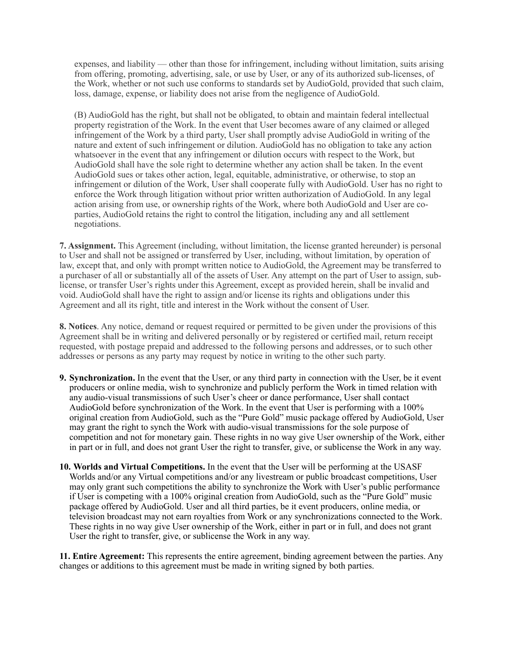expenses, and liability — other than those for infringement, including without limitation, suits arising from offering, promoting, advertising, sale, or use by User, or any of its authorized sub-licenses, of the Work, whether or not such use conforms to standards set by AudioGold, provided that such claim, loss, damage, expense, or liability does not arise from the negligence of AudioGold.

(B) AudioGold has the right, but shall not be obligated, to obtain and maintain federal intellectual property registration of the Work. In the event that User becomes aware of any claimed or alleged infringement of the Work by a third party, User shall promptly advise AudioGold in writing of the nature and extent of such infringement or dilution. AudioGold has no obligation to take any action whatsoever in the event that any infringement or dilution occurs with respect to the Work, but AudioGold shall have the sole right to determine whether any action shall be taken. In the event AudioGold sues or takes other action, legal, equitable, administrative, or otherwise, to stop an infringement or dilution of the Work, User shall cooperate fully with AudioGold. User has no right to enforce the Work through litigation without prior written authorization of AudioGold. In any legal action arising from use, or ownership rights of the Work, where both AudioGold and User are coparties, AudioGold retains the right to control the litigation, including any and all settlement negotiations.

**7. Assignment.** This Agreement (including, without limitation, the license granted hereunder) is personal to User and shall not be assigned or transferred by User, including, without limitation, by operation of law, except that, and only with prompt written notice to AudioGold, the Agreement may be transferred to a purchaser of all or substantially all of the assets of User. Any attempt on the part of User to assign, sublicense, or transfer User's rights under this Agreement, except as provided herein, shall be invalid and void. AudioGold shall have the right to assign and/or license its rights and obligations under this Agreement and all its right, title and interest in the Work without the consent of User.

**8. Notices**. Any notice, demand or request required or permitted to be given under the provisions of this Agreement shall be in writing and delivered personally or by registered or certified mail, return receipt requested, with postage prepaid and addressed to the following persons and addresses, or to such other addresses or persons as any party may request by notice in writing to the other such party.

- **9. Synchronization.** In the event that the User, or any third party in connection with the User, be it event producers or online media, wish to synchronize and publicly perform the Work in timed relation with any audio-visual transmissions of such User's cheer or dance performance, User shall contact AudioGold before synchronization of the Work. In the event that User is performing with a 100% original creation from AudioGold, such as the "Pure Gold" music package offered by AudioGold, User may grant the right to synch the Work with audio-visual transmissions for the sole purpose of competition and not for monetary gain. These rights in no way give User ownership of the Work, either in part or in full, and does not grant User the right to transfer, give, or sublicense the Work in any way.
- **10. Worlds and Virtual Competitions.** In the event that the User will be performing at the USASF Worlds and/or any Virtual competitions and/or any livestream or public broadcast competitions, User may only grant such competitions the ability to synchronize the Work with User's public performance if User is competing with a 100% original creation from AudioGold, such as the "Pure Gold" music package offered by AudioGold. User and all third parties, be it event producers, online media, or television broadcast may not earn royalties from Work or any synchronizations connected to the Work. These rights in no way give User ownership of the Work, either in part or in full, and does not grant User the right to transfer, give, or sublicense the Work in any way.

**11. Entire Agreement:** This represents the entire agreement, binding agreement between the parties. Any changes or additions to this agreement must be made in writing signed by both parties.